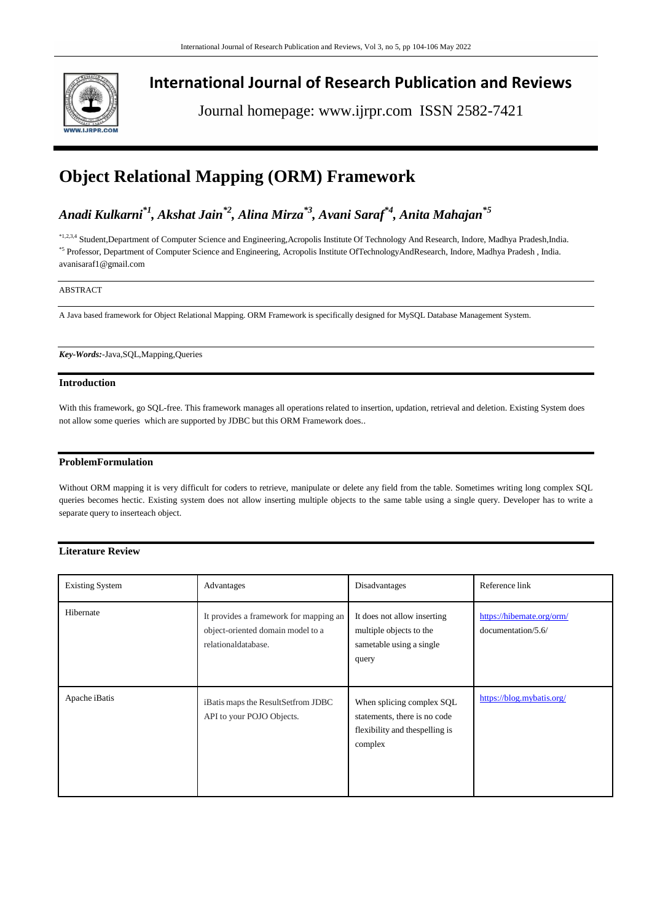

## **International Journal of Research Publication and Reviews**

Journal homepage: www.ijrpr.com ISSN 2582-7421

# **Object Relational Mapping (ORM) Framework**

*Anadi Kulkarni\*1 , Akshat Jain\*2, Alina Mirza\*3, Avani Saraf\*4 , Anita Mahajan\*5*

\*1,2,3,4 Student,Department of Computer Science and Engineering,Acropolis Institute Of Technology And Research, Indore, Madhya Pradesh,India. \*5 Professor, Department of Computer Science and Engineering, Acropolis Institute OfTechnologyAndResearch, Indore, Madhya Pradesh, India. avanisaraf1@gmail.com

## ABSTRACT

A Java based framework for Object Relational Mapping. ORM Framework is specifically designed for MySQL Database Management System.

*Key-Words:-*Java,SQL,Mapping,Queries

## **Introduction**

With this framework, go SQL-free. This framework manages all operations related to insertion, updation, retrieval and deletion. Existing System does not allow some queries which are supported by JDBC but this ORM Framework does..

## **ProblemFormulation**

Without ORM mapping it is very difficult for coders to retrieve, manipulate or delete any field from the table. Sometimes writing long complex SQL queries becomes hectic. Existing system does not allow inserting multiple objects to the same table using a single query. Developer has to write a separate query to inserteach object.

## **Literature Review**

| <b>Existing System</b> | Advantages                                                                                         | Disadvantages                                                                                           | Reference link                                   |
|------------------------|----------------------------------------------------------------------------------------------------|---------------------------------------------------------------------------------------------------------|--------------------------------------------------|
| Hibernate              | It provides a framework for mapping an<br>object-oriented domain model to a<br>relationaldatabase. | It does not allow inserting<br>multiple objects to the<br>sametable using a single<br>query             | https://hibernate.org/orm/<br>documentation/5.6/ |
| Apache iBatis          | iBatis maps the ResultSetfrom JDBC<br>API to your POJO Objects.                                    | When splicing complex SQL<br>statements, there is no code<br>flexibility and the spelling is<br>complex | https://blog.mybatis.org/                        |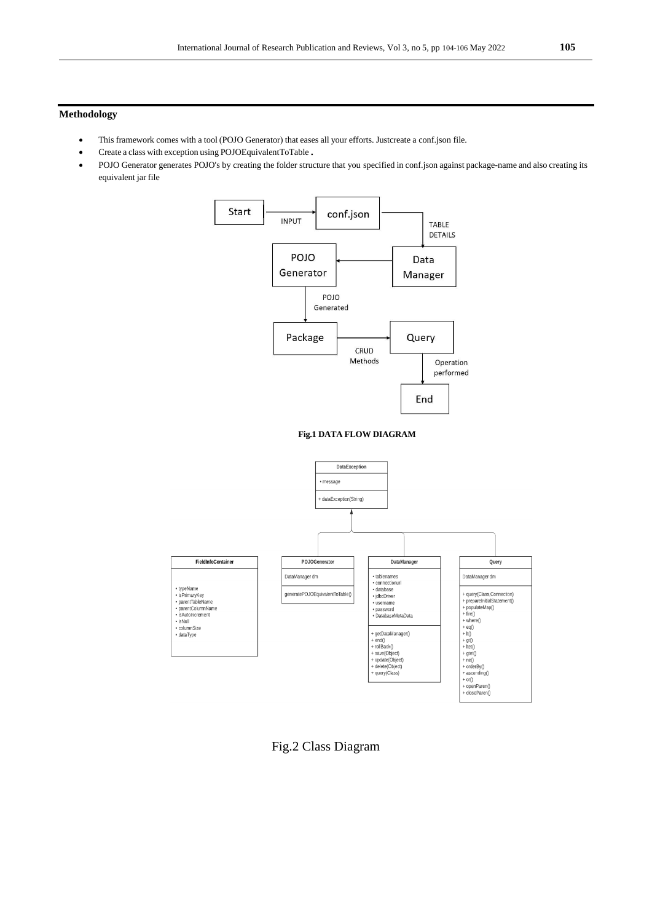## **Methodology**

- This framework comes with a tool (POJO Generator) that eases all your efforts. Justcreate a conf.json file.
- Create a class with exception using POJOEquivalentToTable.
- POJO Generator generates POJO's by creating the folder structure that you specified in conf.json against package-name and also creating its equivalent jar file



Fig.2 Class Diagram